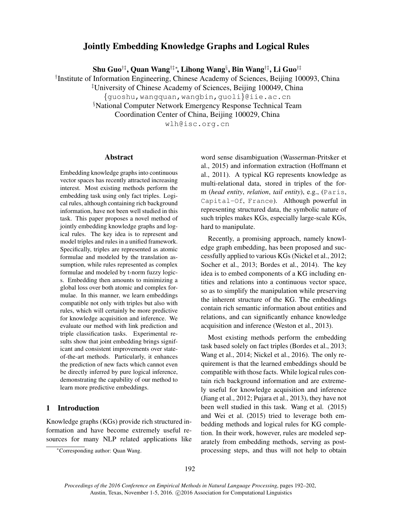# Jointly Embedding Knowledge Graphs and Logical Rules

Shu Guo†‡, Quan Wang†‡∗, Lihong Wang§ , Bin Wang†‡, Li Guo†‡

† Institute of Information Engineering, Chinese Academy of Sciences, Beijing 100093, China

‡University of Chinese Academy of Sciences, Beijing 100049, China

{guoshu,wangquan,wangbin,guoli}@iie.ac.cn

§National Computer Network Emergency Response Technical Team

Coordination Center of China, Beijing 100029, China

wlh@isc.org.cn

#### Abstract

Embedding knowledge graphs into continuous vector spaces has recently attracted increasing interest. Most existing methods perform the embedding task using only fact triples. Logical rules, although containing rich background information, have not been well studied in this task. This paper proposes a novel method of jointly embedding knowledge graphs and logical rules. The key idea is to represent and model triples and rules in a unified framework. Specifically, triples are represented as atomic formulae and modeled by the translation assumption, while rules represented as complex formulae and modeled by t-norm fuzzy logics. Embedding then amounts to minimizing a global loss over both atomic and complex formulae. In this manner, we learn embeddings compatible not only with triples but also with rules, which will certainly be more predictive for knowledge acquisition and inference. We evaluate our method with link prediction and triple classification tasks. Experimental results show that joint embedding brings significant and consistent improvements over stateof-the-art methods. Particularly, it enhances the prediction of new facts which cannot even be directly inferred by pure logical inference, demonstrating the capability of our method to learn more predictive embeddings.

# 1 Introduction

Knowledge graphs (KGs) provide rich structured information and have become extremely useful resources for many NLP related applications like word sense disambiguation (Wasserman-Pritsker et al., 2015) and information extraction (Hoffmann et al., 2011). A typical KG represents knowledge as multi-relational data, stored in triples of the form (*head entity*, *relation*, *tail entity*), e.g., (Paris, Capital-Of, France). Although powerful in representing structured data, the symbolic nature of such triples makes KGs, especially large-scale KGs, hard to manipulate.

Recently, a promising approach, namely knowledge graph embedding, has been proposed and successfully applied to various KGs (Nickel et al., 2012; Socher et al., 2013; Bordes et al., 2014). The key idea is to embed components of a KG including entities and relations into a continuous vector space, so as to simplify the manipulation while preserving the inherent structure of the KG. The embeddings contain rich semantic information about entities and relations, and can significantly enhance knowledge acquisition and inference (Weston et al., 2013).

Most existing methods perform the embedding task based solely on fact triples (Bordes et al., 2013; Wang et al., 2014; Nickel et al., 2016). The only requirement is that the learned embeddings should be compatible with those facts. While logical rules contain rich background information and are extremely useful for knowledge acquisition and inference (Jiang et al., 2012; Pujara et al., 2013), they have not been well studied in this task. Wang et al. (2015) and Wei et al. (2015) tried to leverage both embedding methods and logical rules for KG completion. In their work, however, rules are modeled separately from embedding methods, serving as postprocessing steps, and thus will not help to obtain

<sup>∗</sup>Corresponding author: Quan Wang.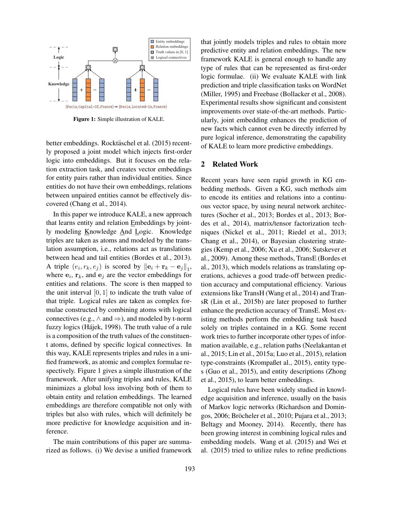

Figure 1: Simple illustration of KALE.

better embeddings. Rocktäschel et al. (2015) recently proposed a joint model which injects first-order logic into embeddings. But it focuses on the relation extraction task, and creates vector embeddings for entity pairs rather than individual entities. Since entities do not have their own embeddings, relations between unpaired entities cannot be effectively discovered (Chang et al., 2014).

In this paper we introduce KALE, a new approach that learns entity and relation Embeddings by jointly modeling Knowledge And Logic. Knowledge triples are taken as atoms and modeled by the translation assumption, i.e., relations act as translations between head and tail entities (Bordes et al., 2013). A triple  $(e_i, r_k, e_j)$  is scored by  $\|\mathbf{e}_i + \mathbf{r}_k - \mathbf{e}_j\|_1$ , where  $e_i$ ,  $r_k$ , and  $e_j$  are the vector embeddings for entities and relations. The score is then mapped to the unit interval  $[0, 1]$  to indicate the truth value of that triple. Logical rules are taken as complex formulae constructed by combining atoms with logical connectives (e.g.,  $\land$  and  $\Rightarrow$ ), and modeled by t-norm fuzzy logics (Hájek, 1998). The truth value of a rule is a composition of the truth values of the constituent atoms, defined by specific logical connectives. In this way, KALE represents triples and rules in a unified framework, as atomic and complex formulae respectively. Figure 1 gives a simple illustration of the framework. After unifying triples and rules, KALE minimizes a global loss involving both of them to obtain entity and relation embeddings. The learned embeddings are therefore compatible not only with triples but also with rules, which will definitely be more predictive for knowledge acquisition and inference.

The main contributions of this paper are summarized as follows. (i) We devise a unified framework that jointly models triples and rules to obtain more predictive entity and relation embeddings. The new framework KALE is general enough to handle any type of rules that can be represented as first-order logic formulae. (ii) We evaluate KALE with link prediction and triple classification tasks on WordNet (Miller, 1995) and Freebase (Bollacker et al., 2008). Experimental results show significant and consistent improvements over state-of-the-art methods. Particularly, joint embedding enhances the prediction of new facts which cannot even be directly inferred by pure logical inference, demonstrating the capability of KALE to learn more predictive embeddings.

#### 2 Related Work

Recent years have seen rapid growth in KG embedding methods. Given a KG, such methods aim to encode its entities and relations into a continuous vector space, by using neural network architectures (Socher et al., 2013; Bordes et al., 2013; Bordes et al., 2014), matrix/tensor factorization techniques (Nickel et al., 2011; Riedel et al., 2013; Chang et al., 2014), or Bayesian clustering strategies (Kemp et al., 2006; Xu et al., 2006; Sutskever et al., 2009). Among these methods, TransE (Bordes et al., 2013), which models relations as translating operations, achieves a good trade-off between prediction accuracy and computational efficiency. Various extensions like TransH (Wang et al., 2014) and TransR (Lin et al., 2015b) are later proposed to further enhance the prediction accuracy of TransE. Most existing methods perform the embedding task based solely on triples contained in a KG. Some recent work tries to further incorporate other types of information available, e.g., relation paths (Neelakantan et al., 2015; Lin et al., 2015a; Luo et al., 2015), relation type-constraints (Krompaßet al., 2015), entity types (Guo et al., 2015), and entity descriptions (Zhong et al., 2015), to learn better embeddings.

Logical rules have been widely studied in knowledge acquisition and inference, usually on the basis of Markov logic networks (Richardson and Domingos, 2006; Bröcheler et al., 2010; Pujara et al., 2013; Beltagy and Mooney, 2014). Recently, there has been growing interest in combining logical rules and embedding models. Wang et al. (2015) and Wei et al. (2015) tried to utilize rules to refine predictions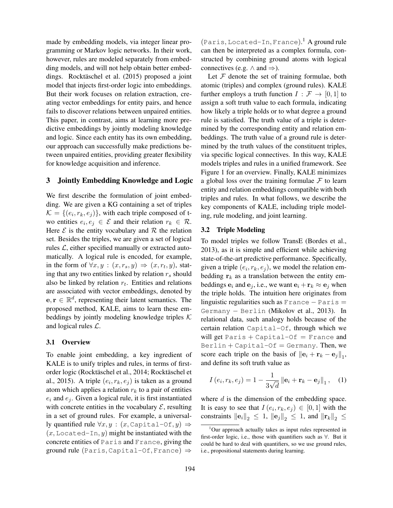made by embedding models, via integer linear programming or Markov logic networks. In their work, however, rules are modeled separately from embedding models, and will not help obtain better embeddings. Rocktäschel et al. (2015) proposed a joint model that injects first-order logic into embeddings. But their work focuses on relation extraction, creating vector embeddings for entity pairs, and hence fails to discover relations between unpaired entities. This paper, in contrast, aims at learning more predictive embeddings by jointly modeling knowledge and logic. Since each entity has its own embedding, our approach can successfully make predictions between unpaired entities, providing greater flexibility for knowledge acquisition and inference.

## 3 Jointly Embedding Knowledge and Logic

We first describe the formulation of joint embedding. We are given a KG containing a set of triples  $\mathcal{K} = \{ (e_i, r_k, e_j) \},$  with each triple composed of two entities  $e_i, e_j \in \mathcal{E}$  and their relation  $r_k \in \mathcal{R}$ . Here  $\mathcal E$  is the entity vocabulary and  $\mathcal R$  the relation set. Besides the triples, we are given a set of logical rules  $\mathcal{L}$ , either specified manually or extracted automatically. A logical rule is encoded, for example, in the form of  $\forall x, y : (x, r_s, y) \Rightarrow (x, r_t, y)$ , stating that any two entities linked by relation  $r_s$  should also be linked by relation  $r_t$ . Entities and relations are associated with vector embeddings, denoted by  $e, r \in \mathbb{R}^d$ , representing their latent semantics. The proposed method, KALE, aims to learn these embeddings by jointly modeling knowledge triples  $K$ and logical rules L.

## 3.1 Overview

To enable joint embedding, a key ingredient of KALE is to unify triples and rules, in terms of firstorder logic (Rocktäschel et al., 2014; Rocktäschel et al., 2015). A triple  $(e_i, r_k, e_j)$  is taken as a ground atom which applies a relation  $r_k$  to a pair of entities  $e_i$  and  $e_j$ . Given a logical rule, it is first instantiated with concrete entities in the vocabulary  $\mathcal{E}$ , resulting in a set of ground rules. For example, a universally quantified rule  $\forall x, y : (x, \text{Capital}-\text{Of}, y) \Rightarrow$  $(x, \text{located-In}, y)$  might be instantiated with the concrete entities of Paris and France, giving the ground rule (Paris, Capital-Of, France)  $\Rightarrow$ 

(Paris, Located-In, France). <sup>1</sup> A ground rule can then be interpreted as a complex formula, constructed by combining ground atoms with logical connectives (e.g.  $\land$  and  $\Rightarrow$ ).

Let  $F$  denote the set of training formulae, both atomic (triples) and complex (ground rules). KALE further employs a truth function  $I : \mathcal{F} \to [0, 1]$  to assign a soft truth value to each formula, indicating how likely a triple holds or to what degree a ground rule is satisfied. The truth value of a triple is determined by the corresponding entity and relation embeddings. The truth value of a ground rule is determined by the truth values of the constituent triples, via specific logical connectives. In this way, KALE models triples and rules in a unified framework. See Figure 1 for an overview. Finally, KALE minimizes a global loss over the training formulae  $\mathcal F$  to learn entity and relation embeddings compatible with both triples and rules. In what follows, we describe the key components of KALE, including triple modeling, rule modeling, and joint learning.

#### 3.2 Triple Modeling

To model triples we follow TransE (Bordes et al., 2013), as it is simple and efficient while achieving state-of-the-art predictive performance. Specifically, given a triple  $(e_i, r_k, e_j)$ , we model the relation embedding  $r_k$  as a translation between the entity embeddings  $e_i$  and  $e_j$ , i.e., we want  $e_i + \mathbf{r}_k \approx \mathbf{e}_j$  when the triple holds. The intuition here originates from linguistic regularities such as  $France$   $Paris$   $=$ Germany − Berlin (Mikolov et al., 2013). In relational data, such analogy holds because of the certain relation Capital-Of, through which we will get  $Paris + Capital-Of = France$  and  $\text{Berlin} + \text{Capital}-\text{Of} = \text{Germany}.$  Then, we score each triple on the basis of  $||\mathbf{e}_i + \mathbf{r}_k - \mathbf{e}_j||_1$ , and define its soft truth value as

$$
I(e_i, r_k, e_j) = 1 - \frac{1}{3\sqrt{d}} ||\mathbf{e}_i + \mathbf{r}_k - \mathbf{e}_j||_1, \quad (1)
$$

where  $d$  is the dimension of the embedding space. It is easy to see that  $I(e_i, r_k, e_j) \in [0, 1]$  with the constraints  $\|\mathbf{e}_i\|_2 \leq 1$ ,  $\|\mathbf{e}_j\|_2 \leq 1$ , and  $\|\mathbf{r}_k\|_2 \leq 1$ 

 $1$ Our approach actually takes as input rules represented in first-order logic, i.e., those with quantifiers such as ∀. But it could be hard to deal with quantifiers, so we use ground rules, i.e., propositional statements during learning.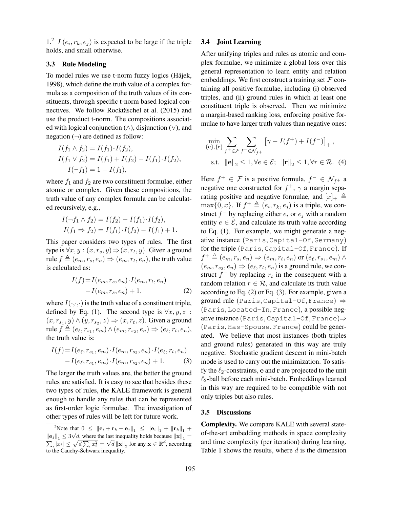1.<sup>2</sup>  $I(e_i, r_k, e_j)$  is expected to be large if the triple holds, and small otherwise.

#### 3.3 Rule Modeling

To model rules we use t-norm fuzzy logics (Hájek, 1998), which define the truth value of a complex formula as a composition of the truth values of its constituents, through specific t-norm based logical connectives. We follow Rocktäschel et al. (2015) and use the product t-norm. The compositions associated with logical conjunction (∧), disjunction (∨), and negation  $(\neg)$  are defined as follow:

$$
I(f_1 \wedge f_2) = I(f_1) \cdot I(f_2),
$$
  
\n
$$
I(f_1 \vee f_2) = I(f_1) + I(f_2) - I(f_1) \cdot I(f_2),
$$
  
\n
$$
I(\neg f_1) = 1 - I(f_1),
$$

where  $f_1$  and  $f_2$  are two constituent formulae, either atomic or complex. Given these compositions, the truth value of any complex formula can be calculated recursively, e.g.,

$$
I(\neg f_1 \land f_2) = I(f_2) - I(f_1) \cdot I(f_2),
$$
  
\n
$$
I(f_1 \Rightarrow f_2) = I(f_1) \cdot I(f_2) - I(f_1) + 1.
$$

This paper considers two types of rules. The first type is  $\forall x, y : (x, r_s, y) \Rightarrow (x, r_t, y)$ . Given a ground rule  $f \triangleq (e_m, r_s, e_n) \Rightarrow (e_m, r_t, e_n)$ , the truth value is calculated as:

$$
I(f) = I(e_m, r_s, e_n) \cdot I(e_m, r_t, e_n) - I(e_m, r_s, e_n) + 1,
$$
\n(2)

where  $I(\cdot,\cdot,\cdot)$  is the truth value of a constituent triple, defined by Eq. (1). The second type is  $\forall x, y, z$ :  $(x, r_{s_1}, y) \wedge (y, r_{s_2}, z) \Rightarrow (x, r_t, z)$ . Given a ground rule  $f \triangleq (e_{\ell}, r_{s_1}, e_m) \wedge (e_m, r_{s_2}, e_n) \Rightarrow (e_{\ell}, r_t, e_n),$ the truth value is:

$$
I(f) = I(e_{\ell}, r_{s_1}, e_m) \cdot I(e_m, r_{s_2}, e_n) \cdot I(e_{\ell}, r_t, e_n)
$$

$$
-I(e_{\ell}, r_{s_1}, e_m) \cdot I(e_m, r_{s_2}, e_n) + 1.
$$
 (3)

The larger the truth values are, the better the ground rules are satisfied. It is easy to see that besides these two types of rules, the KALE framework is general enough to handle any rules that can be represented as first-order logic formulae. The investigation of other types of rules will be left for future work.

# 3.4 Joint Learning

After unifying triples and rules as atomic and complex formulae, we minimize a global loss over this general representation to learn entity and relation embeddings. We first construct a training set  $\mathcal F$  containing all positive formulae, including (i) observed triples, and (ii) ground rules in which at least one constituent triple is observed. Then we minimize a margin-based ranking loss, enforcing positive formulae to have larger truth values than negative ones:

$$
\min_{\{\mathbf{e}\},\{\mathbf{r}\}} \sum_{f^+ \in \mathcal{F}} \sum_{f^- \in \mathcal{N}_{f^+}} \left[ \gamma - I(f^+) + I(f^-) \right]_+,
$$
  
s.t. 
$$
\|\mathbf{e}\|_2 \le 1, \forall e \in \mathcal{E}; \|\mathbf{r}\|_2 \le 1, \forall r \in \mathcal{R}.
$$
 (4)

Here  $f^+ \in \mathcal{F}$  is a positive formula,  $f^- \in \mathcal{N}_{f^+}$  a negative one constructed for  $f^+$ ,  $\gamma$  a margin separating positive and negative formulae, and  $[x]_+ \triangleq$  $\max\{0, x\}$ . If  $f^+ \triangleq (e_i, r_k, e_j)$  is a triple, we construct  $f^-$  by replacing either  $e_i$  or  $e_j$  with a random entity  $e \in \mathcal{E}$ , and calculate its truth value according to Eq. (1). For example, we might generate a negative instance (Paris, Capital-Of, Germany) for the triple (Paris, Capital-Of, France). If  $f^+ \triangleq (e_m, r_s, e_n) \Rightarrow (e_m, r_t, e_n) \text{ or } (e_{\ell}, r_{s_1}, e_m) \land$  $(e_m, r_{s_2}, e_n) \Rightarrow (e_{\ell}, r_t, e_n)$  is a ground rule, we construct  $f^-$  by replacing  $r_t$  in the consequent with a random relation  $r \in \mathcal{R}$ , and calculate its truth value according to Eq. (2) or Eq. (3). For example, given a ground rule (Paris, Capital-Of, France)  $\Rightarrow$ (Paris, Located-In, France), a possible negative instance (Paris, Capital-Of, France)⇒ (Paris, Has-Spouse, France) could be generated. We believe that most instances (both triples and ground rules) generated in this way are truly negative. Stochastic gradient descent in mini-batch mode is used to carry out the minimization. To satisfy the  $\ell_2$ -constraints, e and r are projected to the unit  $\ell_2$ -ball before each mini-batch. Embeddings learned in this way are required to be compatible with not only triples but also rules.

## 3.5 Discussions

Complexity. We compare KALE with several stateof-the-art embedding methods in space complexity and time complexity (per iteration) during learning. Table 1 shows the results, where  $d$  is the dimension

<sup>&</sup>lt;sup>2</sup>Note that  $0 \leq ||{\bf e}_i + {\bf r}_k - {\bf e}_j||_1 \leq ||{\bf e}_i||_1 + ||{\bf r}_k||_1 +$  $\left\|\mathbf{e}_j\right\|_1$  ≤ 3 $\sqrt{ }$  $||\mathbf{e}_j||_1 \le 3\sqrt{d}$ , where the last inequality holds because  $||\mathbf{x}||_1 = \sum_i |x_i| \le \sqrt{d} \sum_i x_i^2 = \sqrt{d} ||\mathbf{x}||_2$  for any  $\mathbf{x} \in \mathbb{R}^d$ , according to the Cauchy-Schwarz inequality.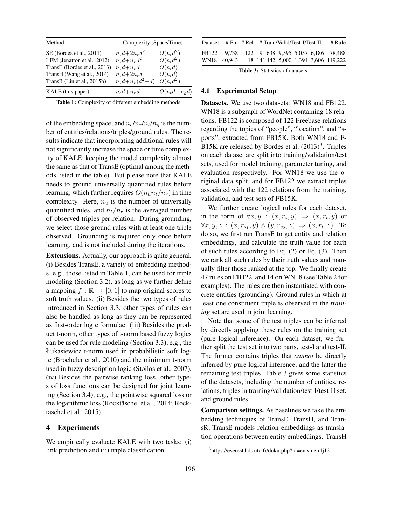| Method                        | Complexity (Space/Time)   |                    |  |  |  |  |  |
|-------------------------------|---------------------------|--------------------|--|--|--|--|--|
| SE (Bordes et al., 2011)      | $n_{e}d + 2n_{r}d^{2}$    | $O(n_t d^2)$       |  |  |  |  |  |
| LFM (Jenatton et al., 2012)   | $n_{e}d + n_{r}d^{2}$     | $O(n_t d^2)$       |  |  |  |  |  |
| TransE (Bordes et al., 2013)  | $n_{e}d + n_{r}d$         | $O(n_t d)$         |  |  |  |  |  |
| TransH (Wang et al., 2014)    | $n_{e}d+2n_{r}d$          | $O(n_t d)$         |  |  |  |  |  |
| TransR (Lin et al., $2015b$ ) | $n_{e}d + n_{r}(d^{2}+d)$ | $O(n_t d^2)$       |  |  |  |  |  |
| KALE (this paper)             | $n_{e}d + n_{r}d$         | $O(n_t d + n_q d)$ |  |  |  |  |  |

Table 1: Complexity of different embedding methods.

of the embedding space, and  $n_e/n_r/n_t/n_g$  is the number of entities/relations/triples/ground rules. The results indicate that incorporating additional rules will not significantly increase the space or time complexity of KALE, keeping the model complexity almost the same as that of TransE (optimal among the methods listed in the table). But please note that KALE needs to ground universally quantified rules before learning, which further requires  $O(n_u n_t/n_r)$  in time complexity. Here,  $n_u$  is the number of universally quantified rules, and  $n_t/n_r$  is the averaged number of observed triples per relation. During grounding, we select those ground rules with at least one triple observed. Grounding is required only once before learning, and is not included during the iterations.

Extensions. Actually, our approach is quite general. (i) Besides TransE, a variety of embedding methods, e.g., those listed in Table 1, can be used for triple modeling (Section 3.2), as long as we further define a mapping  $f : \mathbb{R} \to [0, 1]$  to map original scores to soft truth values. (ii) Besides the two types of rules introduced in Section 3.3, other types of rules can also be handled as long as they can be represented as first-order logic formulae. (iii) Besides the product t-norm, other types of t-norm based fuzzy logics can be used for rule modeling (Section 3.3), e.g., the Łukasiewicz t-norm used in probabilistic soft logic (Bröcheler et al., 2010) and the minimum t-norm used in fuzzy description logic (Stoilos et al., 2007). (iv) Besides the pairwise ranking loss, other types of loss functions can be designed for joint learning (Section 3.4), e.g., the pointwise squared loss or the logarithmic loss (Rocktäschel et al., 2014; Rocktäschel et al., 2015).

## 4 Experiments

We empirically evaluate KALE with two tasks: (i) link prediction and (ii) triple classification.

|  | Dataset   # Ent # Rel # Train/Valid/Test-I/Test-II # Rule                                           |  |  |
|--|-----------------------------------------------------------------------------------------------------|--|--|
|  | FB122 9,738 122 91,638 9,595 5,057 6,186 78,488<br>WN18 40,943 18 141,442 5,000 1,394 3,606 119,222 |  |  |
|  |                                                                                                     |  |  |

Table 3: Statistics of datasets.

## 4.1 Experimental Setup

Datasets. We use two datasets: WN18 and FB122. WN18 is a subgraph of WordNet containing 18 relations. FB122 is composed of 122 Freebase relations regarding the topics of "people", "location", and "sports", extracted from FB15K. Both WN18 and F-B15K are released by Bordes et al.  $(2013)^3$ . Triples on each dataset are split into training/validation/test sets, used for model training, parameter tuning, and evaluation respectively. For WN18 we use the original data split, and for FB122 we extract triples associated with the 122 relations from the training, validation, and test sets of FB15K.

We further create logical rules for each dataset, in the form of  $\forall x, y : (x, r_s, y) \Rightarrow (x, r_t, y)$  or  $\forall x, y, z : (x, r_{s_1}, y) \land (y, r_{s_2}, z) \Rightarrow (x, r_t, z)$ . To do so, we first run TransE to get entity and relation embeddings, and calculate the truth value for each of such rules according to Eq. (2) or Eq. (3). Then we rank all such rules by their truth values and manually filter those ranked at the top. We finally create 47 rules on FB122, and 14 on WN18 (see Table 2 for examples). The rules are then instantiated with concrete entities (grounding). Ground rules in which at least one constituent triple is observed in the *training* set are used in joint learning.

Note that some of the test triples can be inferred by directly applying these rules on the training set (pure logical inference). On each dataset, we further split the test set into two parts, test-I and test-II. The former contains triples that *cannot* be directly inferred by pure logical inference, and the latter the remaining test triples. Table 3 gives some statistics of the datasets, including the number of entities, relations, triples in training/validation/test-I/test-II set, and ground rules.

Comparison settings. As baselines we take the embedding techniques of TransE, TransH, and TransR. TransE models relation embeddings as translation operations between entity embeddings. TransH

<sup>3</sup> https://everest.hds.utc.fr/doku.php?id=en:smemlj12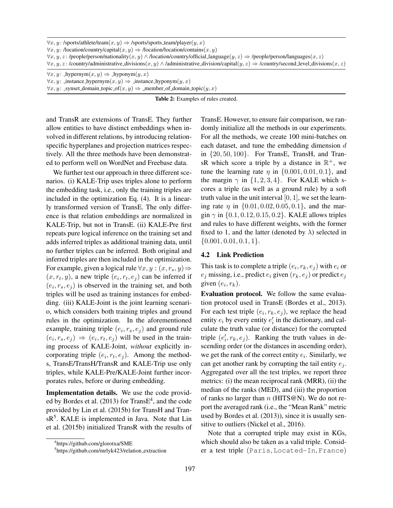|  |  | $\forall x, y:$ /sports/athlete/team $(x, y) \Rightarrow$ /sports/sports_team/player $(y, x)$ |  |  |  |  |  |  |  |
|--|--|-----------------------------------------------------------------------------------------------|--|--|--|--|--|--|--|
|  |  |                                                                                               |  |  |  |  |  |  |  |

 $\forall x, y:$  /location/country/capital $(x, y) \Rightarrow$  /location/location/contains $(x, y)$ 

 $\forall x, y, z:$  /people/person/nationality $(x, y) \land$ /location/country/official language $(y, z) \Rightarrow$ /people/person/languages $(x, z)$ 

 $\forall x, y, z:$  /country/administrative\_divisions $(x, y) \land$ /administrative\_division/capital $(y, z) \Rightarrow$ /country/second\_level\_divisions $(x, z)$ 

 $\forall x, y$ : hypernym $(x, y) \Rightarrow$  hyponym $(y, x)$ 

 $\forall x, y$ : instance\_hypernym $(x, y) \Rightarrow$  instance\_hyponym $(y, x)$ 

 $\forall x, y$ : \_synset\_domain\_topic\_of(x, y)  $\Rightarrow$  \_member\_of\_domain\_topic(y, x)

Table 2: Examples of rules created.

and TransR are extensions of TransE. They further allow entities to have distinct embeddings when involved in different relations, by introducing relationspecific hyperplanes and projection matrices respectively. All the three methods have been demonstrated to perform well on WordNet and Freebase data.

We further test our approach in three different scenarios. (i) KALE-Trip uses triples alone to perform the embedding task, i.e., only the training triples are included in the optimization Eq. (4). It is a linearly transformed version of TransE. The only difference is that relation embeddings are normalized in KALE-Trip, but not in TransE. (ii) KALE-Pre first repeats pure logical inference on the training set and adds inferred triples as additional training data, until no further triples can be inferred. Both original and inferred triples are then included in the optimization. For example, given a logical rule  $\forall x, y : (x, r_s, y) \Rightarrow$  $(x, r_t, y)$ , a new triple  $(e_i, r_t, e_j)$  can be inferred if  $(e_i, r_s, e_j)$  is observed in the training set, and both triples will be used as training instances for embedding. (iii) KALE-Joint is the joint learning scenario, which considers both training triples and ground rules in the optimization. In the aforementioned example, training triple  $(e_i, r_s, e_j)$  and ground rule  $(e_i, r_s, e_j) \Rightarrow (e_i, r_t, e_j)$  will be used in the training process of KALE-Joint, *without* explicitly incorporating triple  $(e_i, r_t, e_j)$ . Among the methods, TransE/TransH/TransR and KALE-Trip use only triples, while KALE-Pre/KALE-Joint further incorporates rules, before or during embedding.

Implementation details. We use the code provided by Bordes et al.  $(2013)$  for Trans $E^4$ , and the code provided by Lin et al. (2015b) for TransH and TransR<sup>5</sup>. KALE is implemented in Java. Note that Lin et al. (2015b) initialized TransR with the results of TransE. However, to ensure fair comparison, we randomly initialize all the methods in our experiments. For all the methods, we create 100 mini-batches on each dataset, and tune the embedding dimension d in  $\{20, 50, 100\}$ . For TransE, TransH, and TransR which score a triple by a distance in  $\mathbb{R}^+$ , we tune the learning rate  $\eta$  in  $\{0.001, 0.01, 0.1\}$ , and the margin  $\gamma$  in  $\{1, 2, 3, 4\}$ . For KALE which scores a triple (as well as a ground rule) by a soft truth value in the unit interval  $[0, 1]$ , we set the learning rate  $\eta$  in  $\{0.01, 0.02, 0.05, 0.1\}$ , and the margin  $\gamma$  in  $\{0.1, 0.12, 0.15, 0.2\}$ . KALE allows triples and rules to have different weights, with the former fixed to 1, and the latter (denoted by  $\lambda$ ) selected in  $\{0.001, 0.01, 0.1, 1\}.$ 

## 4.2 Link Prediction

This task is to complete a triple  $(e_i, r_k, e_j)$  with  $e_i$  or  $e_i$  missing, i.e., predict  $e_i$  given  $(r_k, e_j)$  or predict  $e_j$ given  $(e_i, r_k)$ .

Evaluation protocol. We follow the same evaluation protocol used in TransE (Bordes et al., 2013). For each test triple  $(e_i, r_k, e_j)$ , we replace the head entity  $e_i$  by every entity  $e'_i$  in the dictionary, and calculate the truth value (or distance) for the corrupted triple  $(e'_i, r_k, e_j)$ . Ranking the truth values in descending order (or the distances in ascending order), we get the rank of the correct entity  $e_i$ . Similarly, we can get another rank by corrupting the tail entity  $e_i$ . Aggregated over all the test triples, we report three metrics: (i) the mean reciprocal rank (MRR), (ii) the median of the ranks (MED), and (iii) the proportion of ranks no larger than  $n$  (HITS@N). We do not report the averaged rank (i.e., the "Mean Rank" metric used by Bordes et al. (2013)), since it is usually sensitive to outliers (Nickel et al., 2016).

Note that a corrupted triple may exist in KGs, which should also be taken as a valid triple. Consider a test triple (Paris, Located-In, France)

<sup>4</sup> https://github.com/glorotxa/SME

<sup>5</sup> https://github.com/mrlyk423/relation extraction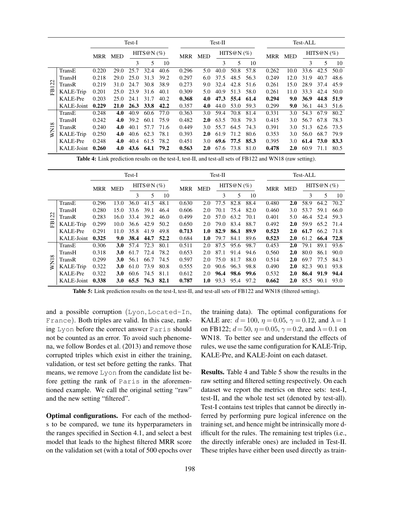|           |            | Test-I                                   |             |      |            |      |               | Test-II    |      |            |               |       | Test-ALL |      |      |      |  |
|-----------|------------|------------------------------------------|-------------|------|------------|------|---------------|------------|------|------------|---------------|-------|----------|------|------|------|--|
|           |            | HITS@N $(%)$<br><b>MED</b><br><b>MRR</b> |             | MRR  | <b>MED</b> |      | HITS@N $(\%)$ |            | MRR  | <b>MED</b> | HITS@N $(\%)$ |       |          |      |      |      |  |
|           |            |                                          |             | 3    | 5          | 10   |               |            | 3    | 5          | 10            |       |          | 3    | 5    | 10   |  |
|           | TransE     | 0.220                                    | 29.0        | 25.7 | 32.4       | 40.6 | 0.296         | 5.0        | 40.0 | 50.8       | 57.8          | 0.262 | 10.0     | 33.6 | 42.5 | 50.0 |  |
|           | TransH     | 0.218                                    | 29.0        | 25.0 | 31.3       | 39.2 | 0.297         | 6.0        | 37.5 | 48.5       | 56.3          | 0.249 | 12.0     | 31.9 | 40.7 | 48.6 |  |
| $\bar{5}$ | TransR     | 0.219                                    | 31.0        | 24.7 | 30.8       | 38.9 | 0.273         | 9.0        | 32.4 | 42.8       | 51.6          | 0.261 | 15.0     | 28.9 | 37.4 | 45.9 |  |
| 岊         | KALE-Trip  | 0.201                                    | 25.0        | 23.9 | 31.6       | 40.1 | 0.309         | 5.0        | 40.9 | 51.3       | 58.0          | 0.261 | 11.0     | 33.3 | 42.4 | 50.0 |  |
|           | KALE-Pre   | 0.203                                    | 25.0        | 24.1 | 31.7       | 40.2 | 0.368         | 4.0        | 47.3 | 55.4       | 61.4          | 0.294 | 9.0      | 36.9 | 44.8 | 51.9 |  |
|           | KALE-Joint | 0.229                                    | <b>21.0</b> | 26.3 | 33.8       | 42.2 | 0.357         | 4.0        | 44.0 | 53.0       | 59.3          | 0.299 | 9.0      | 36.1 | 44.3 | 51.6 |  |
|           | TransE     | 0.248                                    | 4.0         | 40.9 | 60.6       | 77.0 | 0.363         | 3.0        | 59.4 | 70.8       | 81.4          | 0.331 | 3.0      | 54.3 | 67.9 | 80.2 |  |
| $\infty$  | TransH     | 0.242                                    | 4.0         | 39.2 | 60.1       | 75.9 | 0.482         | <b>2.0</b> | 63.5 | 70.8       | 79.3          | 0.415 | 3.0      | 56.7 | 67.8 | 78.3 |  |
|           | TransR     | 0.240                                    | 4.0         | 40.1 | 57.7       | 71.6 | 0.449         | 3.0        | 55.7 | 64.5       | 74.3          | 0.391 | 3.0      | 51.3 | 62.6 | 73.5 |  |
| WN1       | KALE-Trip  | 0.250                                    | 4.0         | 40.6 | 62.3       | 78.1 | 0.393         | <b>2.0</b> | 61.9 | 71.2       | 80.6          | 0.353 | 3.0      | 56.0 | 68.7 | 79.9 |  |
|           | KALE-Pre   | 0.248                                    | 4.0         | 40.4 | 61.5       | 78.2 | 0.451         | 3.0        | 69.6 | 77.5       | 85.3          | 0.395 | 3.0      | 61.4 | 73.0 | 83.3 |  |
|           | KALE-Joint | 0.260                                    | 4.0         | 43.6 | 64.1       | 79.2 | 0.563         | <b>2.0</b> | 67.6 | 73.8       | 81.0          | 0.478 | 2.0      | 60.9 | 71.1 | 80.5 |  |

Table 4: Link prediction results on the test-I, test-II, and test-all sets of FB122 and WN18 (raw setting).

|          |                 | Test-I                             |            |      |                             |      |       | $Test-II$  |               |      |      |       | Test-ALL   |      |      |      |  |
|----------|-----------------|------------------------------------|------------|------|-----------------------------|------|-------|------------|---------------|------|------|-------|------------|------|------|------|--|
|          |                 | HITS@N $(\%)$<br>MRR<br><b>MED</b> |            | MRR  | HITS@N $(\%)$<br><b>MED</b> |      | MRR   | <b>MED</b> | HITS@N $(\%)$ |      |      |       |            |      |      |      |  |
|          |                 |                                    |            | 3    | 5                           | 10   |       |            | 3             | 5    | 10   |       |            | 3    | 5    | 10   |  |
|          | TransE          | 0.296                              | 13.0       | 36.0 | 41.5                        | 48.1 | 0.630 | 2.0        | 77.5          | 82.8 | 88.4 | 0.480 | 2.0        | 58.9 | 64.2 | 70.2 |  |
|          | TransH          | 0.280                              | 15.0       | 33.6 | 39.1                        | 46.4 | 0.606 | 2.0        | 70.1          | 75.4 | 82.0 | 0.460 | 3.0        | 53.7 | 59.1 | 66.0 |  |
| 122      | TransR          | 0.283                              | 16.0       | 33.4 | 39.2                        | 46.0 | 0.499 | 2.0        | 57.0          | 63.2 | 70.1 | 0.401 | 5.0        | 46.4 | 52.4 | 59.3 |  |
| EB       | KALE-Trip       | 0.299                              | 10.0       | 36.6 | 42.9                        | 50.2 | 0.650 | 2.0        | 79.0          | 83.4 | 88.7 | 0.492 | 2.0        | 59.9 | 65.2 | 71.4 |  |
|          | <b>KALE-Pre</b> | 0.291                              | 11.0       | 35.8 | 41.9                        | 49.8 | 0.713 | 1.0        | 82.9          | 86.1 | 89.9 | 0.523 | <b>2.0</b> | 61.7 | 66.2 | 71.8 |  |
|          | KALE-Joint      | 0.325                              | 9.0        | 38.4 | 44.7                        | 52.2 | 0.684 | 1.0        | 79.7          | 84.1 | 89.6 | 0.523 | 2.0        | 61.2 | 66.4 | 72.8 |  |
|          | TransE          | 0.306                              | <b>3.0</b> | 57.4 | 72.3                        | 80.1 | 0.511 | 2.0        | 87.5          | 95.6 | 98.7 | 0.453 | 2.0        | 79.1 | 89.1 | 93.6 |  |
|          | TransH          | 0.318                              | <b>3.0</b> | 61.7 | 72.4                        | 78.2 | 0.653 | 2.0        | 87.1          | 91.4 | 94.6 | 0.560 | 2.0        | 80.0 | 86.1 | 90.0 |  |
| $\infty$ | TransR          | 0.299                              | <b>3.0</b> | 56.1 | 66.7                        | 74.5 | 0.597 | 2.0        | 75.0          | 81.7 | 88.0 | 0.514 | 2.0        | 69.7 | 77.5 | 84.3 |  |
| WN1      | KALE-Trip       | 0.322                              | <b>3.0</b> | 61.0 | 73.9                        | 80.8 | 0.555 | 2.0        | 90.6          | 96.3 | 98.8 | 0.490 | 2.0        | 82.3 | 90.1 | 93.8 |  |
|          | <b>KALE-Pre</b> | 0.322                              | <b>3.0</b> | 60.6 | 74.5                        | 81.1 | 0.612 | 2.0        | 96.4          | 98.6 | 99.6 | 0.532 | <b>2.0</b> | 86.4 | 91.9 | 94.4 |  |
|          | KALE-Joint      | 0.338                              | <b>3.0</b> | 65.5 | 76.3                        | 82.1 | 0.787 | 1.0        | 93.3          | 95.4 | 97.2 | 0.662 | <b>2.0</b> | 85.5 | 90.1 | 93.0 |  |

Table 5: Link prediction results on the test-I, test-II, and test-all sets of FB122 and WN18 (filtered setting).

and a possible corruption (Lyon, Located-In, France). Both triples are valid. In this case, ranking Lyon before the correct answer Paris should not be counted as an error. To avoid such phenomena, we follow Bordes et al. (2013) and remove those corrupted triples which exist in either the training, validation, or test set before getting the ranks. That means, we remove Lyon from the candidate list before getting the rank of Paris in the aforementioned example. We call the original setting "raw" and the new setting "filtered".

Optimal configurations. For each of the methods to be compared, we tune its hyperparameters in the ranges specified in Section 4.1, and select a best model that leads to the highest filtered MRR score on the validation set (with a total of 500 epochs over the training data). The optimal configurations for KALE are:  $d = 100$ ,  $\eta = 0.05$ ,  $\gamma = 0.12$ , and  $\lambda = 1$ on FB122;  $d = 50$ ,  $\eta = 0.05$ ,  $\gamma = 0.2$ , and  $\lambda = 0.1$  on WN18. To better see and understand the effects of rules, we use the same configuration for KALE-Trip, KALE-Pre, and KALE-Joint on each dataset.

Results. Table 4 and Table 5 show the results in the raw setting and filtered setting respectively. On each dataset we report the metrics on three sets: test-I, test-II, and the whole test set (denoted by test-all). Test-I contains test triples that cannot be directly inferred by performing pure logical inference on the training set, and hence might be intrinsically more difficult for the rules. The remaining test triples (i.e., the directly inferable ones) are included in Test-II. These triples have either been used directly as train-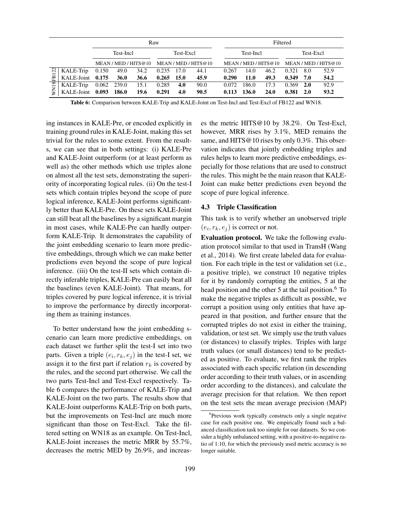|             |                  |           |             | Raw  |              |      |                                           | Filtered  |       |                      |           |            |                  |  |  |  |
|-------------|------------------|-----------|-------------|------|--------------|------|-------------------------------------------|-----------|-------|----------------------|-----------|------------|------------------|--|--|--|
|             |                  | Test-Incl |             |      | Test-Excl    |      |                                           | Test-Incl |       |                      | Test-Excl |            |                  |  |  |  |
|             |                  |           |             |      |              |      | MEAN / MED / HITS@10 MEAN / MED / HITS@10 |           |       | MEAN / MED / HITS@10 |           |            | MEAN/MED/HITS@10 |  |  |  |
| 122         | KALE-Trip        | 0.150     | 49.0        | 34.2 | 0.235        | 17.0 | 44.1                                      | 0.267     | 14.0  | 46.2                 | 0.321     | 8.0        | 52.9             |  |  |  |
| 岊           | KALE-Joint 0.175 |           | <b>36.0</b> | 36.6 | $0.265$ 15.0 |      | 45.9                                      | 0.290     | 11.0  | 49.3                 | 0.349     | 7.0        | 54.2             |  |  |  |
| <b>WN18</b> | KALE-Trip        |           | 0.062 239.0 | 15.1 | 0.285        | 4.0  | 90.0                                      | 0.072     | 186.0 | 17.3                 | 0.369     | <b>2.0</b> | 92.9             |  |  |  |
|             | KALE-Joint       | 0.093     | 186.0       | 19.6 | 0.291        | 4.0  | 90.5                                      | 0.113     | 136.0 | <b>24.0</b>          | 0.381     | 2.0        | 93.2             |  |  |  |

Table 6: Comparison between KALE-Trip and KALE-Joint on Test-Incl and Test-Excl of FB122 and WN18.

ing instances in KALE-Pre, or encoded explicitly in training ground rules in KALE-Joint, making this set trivial for the rules to some extent. From the results, we can see that in both settings: (i) KALE-Pre and KALE-Joint outperform (or at least perform as well as) the other methods which use triples alone on almost all the test sets, demonstrating the superiority of incorporating logical rules. (ii) On the test-I sets which contain triples beyond the scope of pure logical inference, KALE-Joint performs significantly better than KALE-Pre. On these sets KALE-Joint can still beat all the baselines by a significant margin in most cases, while KALE-Pre can hardly outperform KALE-Trip. It demonstrates the capability of the joint embedding scenario to learn more predictive embeddings, through which we can make better predictions even beyond the scope of pure logical inference. (iii) On the test-II sets which contain directly inferable triples, KALE-Pre can easily beat all the baselines (even KALE-Joint). That means, for triples covered by pure logical inference, it is trivial to improve the performance by directly incorporating them as training instances.

To better understand how the joint embedding scenario can learn more predictive embeddings, on each dataset we further split the test-I set into two parts. Given a triple  $(e_i, r_k, e_j)$  in the test-I set, we assign it to the first part if relation  $r_k$  is covered by the rules, and the second part otherwise. We call the two parts Test-Incl and Test-Excl respectively. Table 6 compares the performance of KALE-Trip and KALE-Joint on the two parts. The results show that KALE-Joint outperforms KALE-Trip on both parts, but the improvements on Test-Incl are much more significant than those on Test-Excl. Take the filtered setting on WN18 as an example. On Test-Incl, KALE-Joint increases the metric MRR by 55.7%, decreases the metric MED by 26.9%, and increases the metric HITS@10 by 38.2%. On Test-Excl, however, MRR rises by 3.1%, MED remains the same, and HITS@10 rises by only 0.3%. This observation indicates that jointly embedding triples and rules helps to learn more predictive embeddings, especially for those relations that are used to construct the rules. This might be the main reason that KALE-Joint can make better predictions even beyond the scope of pure logical inference.

#### 4.3 Triple Classification

This task is to verify whether an unobserved triple  $(e_i, r_k, e_j)$  is correct or not.

Evaluation protocol. We take the following evaluation protocol similar to that used in TransH (Wang et al., 2014). We first create labeled data for evaluation. For each triple in the test or validation set (i.e., a positive triple), we construct 10 negative triples for it by randomly corrupting the entities, 5 at the head position and the other 5 at the tail position. $6\text{ To}$ make the negative triples as difficult as possible, we corrupt a position using only entities that have appeared in that position, and further ensure that the corrupted triples do not exist in either the training, validation, or test set. We simply use the truth values (or distances) to classify triples. Triples with large truth values (or small distances) tend to be predicted as positive. To evaluate, we first rank the triples associated with each specific relation (in descending order according to their truth values, or in ascending order according to the distances), and calculate the average precision for that relation. We then report on the test sets the mean average precision (MAP)

<sup>&</sup>lt;sup>6</sup>Previous work typically constructs only a single negative case for each positive one. We empirically found such a balanced classification task too simple for our datasets. So we consider a highly unbalanced setting, with a positive-to-negative ratio of 1:10, for which the previously used metric accuracy is no longer suitable.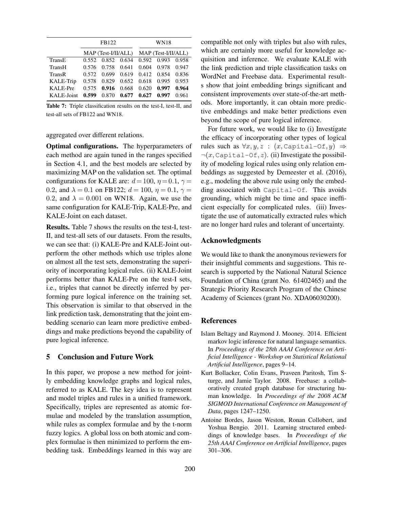|            |       | FB122 |                     | WN18                |       |       |  |  |  |
|------------|-------|-------|---------------------|---------------------|-------|-------|--|--|--|
|            |       |       | MAP (Test-I/II/ALL) | MAP (Test-I/II/ALL) |       |       |  |  |  |
| TransE     | 0.552 | 0.852 | 0.634               | 0.592               | 0.993 | 0.958 |  |  |  |
| TransH     | 0.576 | 0.758 | 0.641               | 0.604               | 0.978 | 0.947 |  |  |  |
| TransR     | 0.572 | 0.699 | 0.619               | 0.412               | 0.854 | 0.836 |  |  |  |
| KALE-Trip  | 0.578 | 0.829 | 0.652               | 0.618               | 0.995 | 0.953 |  |  |  |
| KALE-Pre   | 0.575 | 0.916 | 0.668               | 0.620               | 0.997 | 0.964 |  |  |  |
| KALE-Joint | 0.599 | 0.870 | 0.677               | 0.627               | 0.997 | 0.961 |  |  |  |

Table 7: Triple classification results on the test-I, test-II, and test-all sets of FB122 and WN18.

aggregated over different relations.

Optimal configurations. The hyperparameters of each method are again tuned in the ranges specified in Section 4.1, and the best models are selected by maximizing MAP on the validation set. The optimal configurations for KALE are:  $d = 100$ ,  $\eta = 0.1$ ,  $\gamma =$ 0.2, and  $\lambda = 0.1$  on FB122;  $d = 100$ ,  $\eta = 0.1$ ,  $\gamma =$ 0.2, and  $\lambda = 0.001$  on WN18. Again, we use the same configuration for KALE-Trip, KALE-Pre, and KALE-Joint on each dataset.

Results. Table 7 shows the results on the test-I, test-II, and test-all sets of our datasets. From the results, we can see that: (i) KALE-Pre and KALE-Joint outperform the other methods which use triples alone on almost all the test sets, demonstrating the superiority of incorporating logical rules. (ii) KALE-Joint performs better than KALE-Pre on the test-I sets, i.e., triples that cannot be directly inferred by performing pure logical inference on the training set. This observation is similar to that observed in the link prediction task, demonstrating that the joint embedding scenario can learn more predictive embeddings and make predictions beyond the capability of pure logical inference.

# 5 Conclusion and Future Work

In this paper, we propose a new method for jointly embedding knowledge graphs and logical rules, referred to as KALE. The key idea is to represent and model triples and rules in a unified framework. Specifically, triples are represented as atomic formulae and modeled by the translation assumption, while rules as complex formulae and by the t-norm fuzzy logics. A global loss on both atomic and complex formulae is then minimized to perform the embedding task. Embeddings learned in this way are compatible not only with triples but also with rules, which are certainly more useful for knowledge acquisition and inference. We evaluate KALE with the link prediction and triple classification tasks on WordNet and Freebase data. Experimental results show that joint embedding brings significant and consistent improvements over state-of-the-art methods. More importantly, it can obtain more predictive embeddings and make better predictions even beyond the scope of pure logical inference.

For future work, we would like to (i) Investigate the efficacy of incorporating other types of logical rules such as  $\forall x, y, z : (x, \text{Capital}-\text{Of}, y) \Rightarrow$  $\neg(x, \text{Capital}-\text{Of}, z)$ . (ii) Investigate the possibility of modeling logical rules using only relation embeddings as suggested by Demeester et al. (2016), e.g., modeling the above rule using only the embedding associated with Capital-Of. This avoids grounding, which might be time and space inefficient especially for complicated rules. (iii) Investigate the use of automatically extracted rules which are no longer hard rules and tolerant of uncertainty.

## Acknowledgments

We would like to thank the anonymous reviewers for their insightful comments and suggestions. This research is supported by the National Natural Science Foundation of China (grant No. 61402465) and the Strategic Priority Research Program of the Chinese Academy of Sciences (grant No. XDA06030200).

# References

- Islam Beltagy and Raymond J. Mooney. 2014. Efficient markov logic inference for natural language semantics. In *Proceedings of the 28th AAAI Conference on Artificial Intelligence - Workshop on Statistical Relational Artificial Intelligence*, pages 9–14.
- Kurt Bollacker, Colin Evans, Praveen Paritosh, Tim Sturge, and Jamie Taylor. 2008. Freebase: a collaboratively created graph database for structuring human knowledge. In *Proceedings of the 2008 ACM SIGMOD International Conference on Management of Data*, pages 1247–1250.
- Antoine Bordes, Jason Weston, Ronan Collobert, and Yoshua Bengio. 2011. Learning structured embeddings of knowledge bases. In *Proceedings of the 25th AAAI Conference on Artificial Intelligence*, pages 301–306.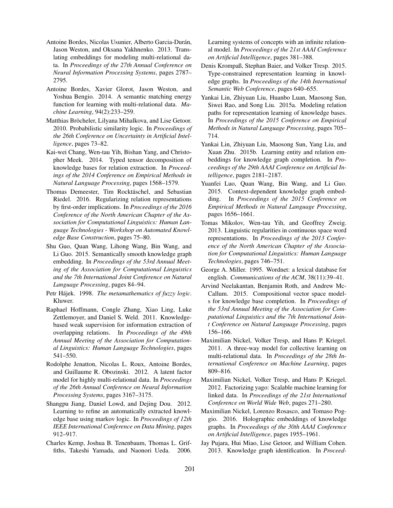- Antoine Bordes, Nicolas Usunier, Alberto Garcia-Durán, Jason Weston, and Oksana Yakhnenko. 2013. Translating embeddings for modeling multi-relational data. In *Proceedings of the 27th Annual Conference on Neural Information Processing Systems*, pages 2787– 2795.
- Antoine Bordes, Xavier Glorot, Jason Weston, and Yoshua Bengio. 2014. A semantic matching energy function for learning with multi-relational data. *Machine Learning*, 94(2):233–259.
- Matthias Bröcheler, Lilyana Mihalkova, and Lise Getoor. 2010. Probabilistic similarity logic. In *Proceedings of the 26th Conference on Uncertainty in Artificial Intelligence*, pages 73–82.
- Kai-wei Chang, Wen-tau Yih, Bishan Yang, and Christopher Meek. 2014. Typed tensor decomposition of knowledge bases for relation extraction. In *Proceedings of the 2014 Conference on Empirical Methods in Natural Language Processing*, pages 1568–1579.
- Thomas Demeester, Tim Rocktäschel, and Sebastian Riedel. 2016. Regularizing relation representations by first-order implications. In *Proceedings of the 2016 Conference of the North American Chapter of the Association for Computational Linguistics: Human Language Technologies - Workshop on Automated Knowledge Base Construction*, pages 75–80.
- Shu Guo, Quan Wang, Lihong Wang, Bin Wang, and Li Guo. 2015. Semantically smooth knowledge graph embedding. In *Proceedings of the 53rd Annual Meeting of the Association for Computational Linguistics and the 7th International Joint Conference on Natural Language Processing*, pages 84–94.
- Petr Hájek. 1998. *The metamathematics of fuzzy logic*. Kluwer.
- Raphael Hoffmann, Congle Zhang, Xiao Ling, Luke Zettlemoyer, and Daniel S. Weld. 2011. Knowledgebased weak supervision for information extraction of overlapping relations. In *Proceedings of the 49th Annual Meeting of the Association for Computational Linguistics: Human Language Technologies*, pages 541–550.
- Rodolphe Jenatton, Nicolas L. Roux, Antoine Bordes, and Guillaume R. Obozinski. 2012. A latent factor model for highly multi-relational data. In *Proceedings of the 26th Annual Conference on Neural Information Processing Systems*, pages 3167–3175.
- Shangpu Jiang, Daniel Lowd, and Dejing Dou. 2012. Learning to refine an automatically extracted knowledge base using markov logic. In *Proceedings of 12th IEEE International Conference on Data Mining*, pages 912–917.
- Charles Kemp, Joshua B. Tenenbaum, Thomas L. Griffiths, Takeshi Yamada, and Naonori Ueda. 2006.

Learning systems of concepts with an infinite relational model. In *Proceedings of the 21st AAAI Conference on Artificial Intelligence*, pages 381–388.

- Denis Krompaß, Stephan Baier, and Volker Tresp. 2015. Type-constrained representation learning in knowledge graphs. In *Proceedings of the 14th International Semantic Web Conference*, pages 640–655.
- Yankai Lin, Zhiyuan Liu, Huanbo Luan, Maosong Sun, Siwei Rao, and Song Liu. 2015a. Modeling relation paths for representation learning of knowledge bases. In *Proceedings of the 2015 Conference on Empirical Methods in Natural Language Processing*, pages 705– 714.
- Yankai Lin, Zhiyuan Liu, Maosong Sun, Yang Liu, and Xuan Zhu. 2015b. Learning entity and relation embeddings for knowledge graph completion. In *Proceedings of the 29th AAAI Conference on Artificial Intelligence*, pages 2181–2187.
- Yuanfei Luo, Quan Wang, Bin Wang, and Li Guo. 2015. Context-dependent knowledge graph embedding. In *Proceedings of the 2015 Conference on Empirical Methods in Natural Language Processing*, pages 1656–1661.
- Tomas Mikolov, Wen-tau Yih, and Geoffrey Zweig. 2013. Linguistic regularities in continuous space word representations. In *Proceedings of the 2013 Conference of the North American Chapter of the Association for Computational Linguistics: Human Language Technologies*, pages 746–751.
- George A. Miller. 1995. Wordnet: a lexical database for english. *Communications of the ACM*, 38(11):39–41.
- Arvind Neelakantan, Benjamin Roth, and Andrew Mc-Callum. 2015. Compositional vector space models for knowledge base completion. In *Proceedings of the 53rd Annual Meeting of the Association for Computational Linguistics and the 7th International Joint Conference on Natural Language Processing*, pages 156–166.
- Maximilian Nickel, Volker Tresp, and Hans P. Kriegel. 2011. A three-way model for collective learning on multi-relational data. In *Proceedings of the 28th International Conference on Machine Learning*, pages 809–816.
- Maximilian Nickel, Volker Tresp, and Hans P. Kriegel. 2012. Factorizing yago: Scalable machine learning for linked data. In *Proceedings of the 21st International Conference on World Wide Web*, pages 271–280.
- Maximilian Nickel, Lorenzo Rosasco, and Tomaso Poggio. 2016. Holographic embeddings of knowledge graphs. In *Proceedings of the 30th AAAI Conference on Artificial Intelligence*, pages 1955–1961.
- Jay Pujara, Hui Miao, Lise Getoor, and William Cohen. 2013. Knowledge graph identification. In *Proceed-*